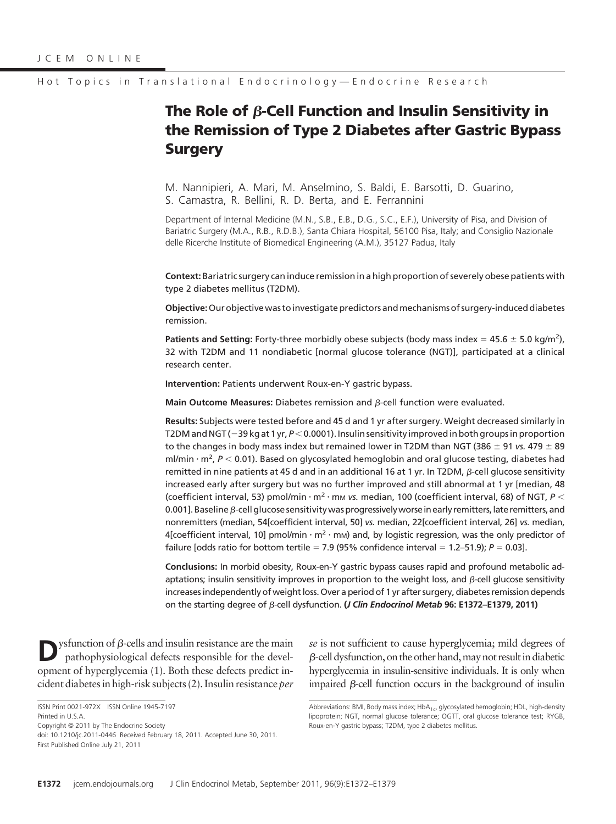# **The Role of B-Cell Function and Insulin Sensitivity in the Remission of Type 2 Diabetes after Gastric Bypass Surgery**

M. Nannipieri, A. Mari, M. Anselmino, S. Baldi, E. Barsotti, D. Guarino, S. Camastra, R. Bellini, R. D. Berta, and E. Ferrannini

Department of Internal Medicine (M.N., S.B., E.B., D.G., S.C., E.F.), University of Pisa, and Division of Bariatric Surgery (M.A., R.B., R.D.B.), Santa Chiara Hospital, 56100 Pisa, Italy; and Consiglio Nazionale delle Ricerche Institute of Biomedical Engineering (A.M.), 35127 Padua, Italy

**Context:** Bariatric surgery can induce remission in a high proportion of severely obese patients with type 2 diabetes mellitus (T2DM).

**Objective:**Our objective was to investigate predictors andmechanisms of surgery-induced diabetes remission.

Patients and Setting: Forty-three morbidly obese subjects (body mass index  $= 45.6 \pm 5.0$  kg/m<sup>2</sup>), 32 with T2DM and 11 nondiabetic [normal glucose tolerance (NGT)], participated at a clinical research center.

**Intervention:** Patients underwent Roux-en-Y gastric bypass.

**Main Outcome Measures:** Diabetes remission and  $\beta$ -cell function were evaluated.

**Results:** Subjects were tested before and 45 d and 1 yr after surgery. Weight decreased similarly in T2DM and NGT (-39 kg at 1 yr, *P* < 0.0001). Insulin sensitivity improved in both groups in proportion to the changes in body mass index but remained lower in T2DM than NGT (386  $\pm$  91 *vs.* 479  $\pm$  89 ml/min · m<sup>2</sup>,  $P < 0.01$ ). Based on glycosylated hemoglobin and oral glucose testing, diabetes had remitted in nine patients at 45 d and in an additional 16 at 1 yr. In T2DM,  $\beta$ -cell glucose sensitivity increased early after surgery but was no further improved and still abnormal at 1 yr [median, 48 (coefficient interval, 53) pmol/min  $\cdot$  m<sup>2</sup>  $\cdot$  mm *vs.* median, 100 (coefficient interval, 68) of NGT, *P* < 0.001]. Baseline  $\beta$ -cell glucose sensitivity was progressively worse in early remitters, late remitters, and nonremitters (median, 54[coefficient interval, 50] *vs.* median, 22[coefficient interval, 26] *vs.* median, 4[coefficient interval, 10] pmol/min  $\cdot$  m<sup>2</sup>  $\cdot$  mm) and, by logistic regression, was the only predictor of failure [odds ratio for bottom tertile = 7.9 (95% confidence interval = 1.2–51.9);  $P = 0.03$ ].

**Conclusions:** In morbid obesity, Roux-en-Y gastric bypass causes rapid and profound metabolic adaptations; insulin sensitivity improves in proportion to the weight loss, and  $\beta$ -cell glucose sensitivity increases independently of weight loss. Over a period of 1 yr after surgery, diabetes remission depends on the starting degree of *β*-cell dysfunction. **(***J Clin Endocrinol Metab* **96: E1372–E1379, 2011)** 

 $y$ sfunction of  $\beta$ -cells and insulin resistance are the main pathophysiological defects responsible for the development of hyperglycemia (1). Both these defects predict incident diabetesin high-risk subjects (2). Insulin resistance*per* *se* is not sufficient to cause hyperglycemia; mild degrees of  $\beta$ -cell dysfunction, on the other hand, may not result in diabetic hyperglycemia in insulin-sensitive individuals. It is only when impaired  $\beta$ -cell function occurs in the background of insulin

ISSN Print 0021-972X ISSN Online 1945-7197 Printed in U.S.A.

Copyright © 2011 by The Endocrine Society

doi: 10.1210/jc.2011-0446 Received February 18, 2011. Accepted June 30, 2011. First Published Online July 21, 2011

Abbreviations: BMI, Body mass index;  $HbA_{1c}$ , glycosylated hemoglobin; HDL, high-density lipoprotein; NGT, normal glucose tolerance; OGTT, oral glucose tolerance test; RYGB, Roux-en-Y gastric bypass; T2DM, type 2 diabetes mellitus.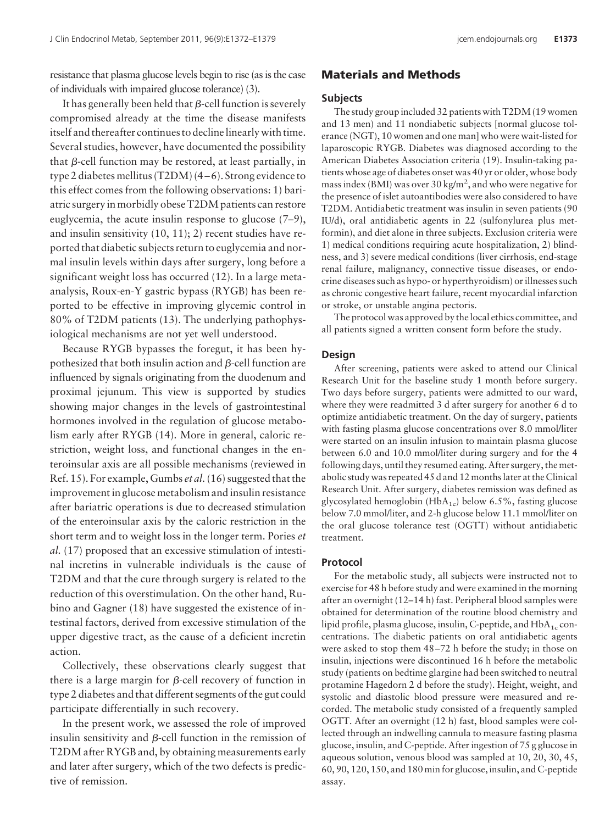resistance that plasma glucose levels begin to rise (as is the case of individuals with impaired glucose tolerance) (3).

It has generally been held that  $\beta$ -cell function is severely compromised already at the time the disease manifests itself and thereafter continues to decline linearly with time. Several studies, however, have documented the possibility that  $\beta$ -cell function may be restored, at least partially, in type 2 diabetes mellitus (T2DM)  $(4-6)$ . Strong evidence to this effect comes from the following observations: 1) bariatric surgery in morbidly obese T2DM patients can restore euglycemia, the acute insulin response to glucose (7–9), and insulin sensitivity (10, 11); 2) recent studies have reported that diabetic subjects return to euglycemia and normal insulin levels within days after surgery, long before a significant weight loss has occurred (12). In a large metaanalysis, Roux-en-Y gastric bypass (RYGB) has been reported to be effective in improving glycemic control in 80% of T2DM patients (13). The underlying pathophysiological mechanisms are not yet well understood.

Because RYGB bypasses the foregut, it has been hypothesized that both insulin action and  $\beta$ -cell function are influenced by signals originating from the duodenum and proximal jejunum. This view is supported by studies showing major changes in the levels of gastrointestinal hormones involved in the regulation of glucose metabolism early after RYGB (14). More in general, caloric restriction, weight loss, and functional changes in the enteroinsular axis are all possible mechanisms (reviewed in Ref. 15). For example, Gumbs *et al.*(16) suggested that the improvement in glucose metabolism and insulin resistance after bariatric operations is due to decreased stimulation of the enteroinsular axis by the caloric restriction in the short term and to weight loss in the longer term. Pories *et al.* (17) proposed that an excessive stimulation of intestinal incretins in vulnerable individuals is the cause of T2DM and that the cure through surgery is related to the reduction of this overstimulation. On the other hand, Rubino and Gagner (18) have suggested the existence of intestinal factors, derived from excessive stimulation of the upper digestive tract, as the cause of a deficient incretin action.

Collectively, these observations clearly suggest that there is a large margin for  $\beta$ -cell recovery of function in type 2 diabetes and that different segments of the gut could participate differentially in such recovery.

In the present work, we assessed the role of improved insulin sensitivity and  $\beta$ -cell function in the remission of T2DM after RYGB and, by obtaining measurements early and later after surgery, which of the two defects is predictive of remission.

# **Materials and Methods**

## **Subjects**

The study group included 32 patients with T2DM (19 women and 13 men) and 11 nondiabetic subjects [normal glucose tolerance (NGT), 10 women and one man] who were wait-listed for laparoscopic RYGB. Diabetes was diagnosed according to the American Diabetes Association criteria (19). Insulin-taking patients whose age of diabetes onset was 40 yr or older, whose body mass index (BMI) was over 30 kg/m<sup>2</sup>, and who were negative for the presence of islet autoantibodies were also considered to have T2DM. Antidiabetic treatment was insulin in seven patients (90 IU/d), oral antidiabetic agents in 22 (sulfonylurea plus metformin), and diet alone in three subjects. Exclusion criteria were 1) medical conditions requiring acute hospitalization, 2) blindness, and 3) severe medical conditions (liver cirrhosis, end-stage renal failure, malignancy, connective tissue diseases, or endocrine diseases such as hypo- or hyperthyroidism) or illnesses such as chronic congestive heart failure, recent myocardial infarction or stroke, or unstable angina pectoris.

The protocol was approved by the local ethics committee, and all patients signed a written consent form before the study.

#### **Design**

After screening, patients were asked to attend our Clinical Research Unit for the baseline study 1 month before surgery. Two days before surgery, patients were admitted to our ward, where they were readmitted 3 d after surgery for another 6 d to optimize antidiabetic treatment. On the day of surgery, patients with fasting plasma glucose concentrations over 8.0 mmol/liter were started on an insulin infusion to maintain plasma glucose between 6.0 and 10.0 mmol/liter during surgery and for the 4 following days, until they resumed eating. After surgery, the metabolic study was repeated 45 d and 12 months later at the Clinical Research Unit. After surgery, diabetes remission was defined as glycosylated hemoglobin ( $HbA_{1c}$ ) below 6.5%, fasting glucose below 7.0 mmol/liter, and 2-h glucose below 11.1 mmol/liter on the oral glucose tolerance test (OGTT) without antidiabetic treatment.

## **Protocol**

For the metabolic study, all subjects were instructed not to exercise for 48 h before study and were examined in the morning after an overnight (12–14 h) fast. Peripheral blood samples were obtained for determination of the routine blood chemistry and lipid profile, plasma glucose, insulin, C-peptide, and  $HbA_{1c}$  concentrations. The diabetic patients on oral antidiabetic agents were asked to stop them 48 –72 h before the study; in those on insulin, injections were discontinued 16 h before the metabolic study (patients on bedtime glargine had been switched to neutral protamine Hagedorn 2 d before the study). Height, weight, and systolic and diastolic blood pressure were measured and recorded. The metabolic study consisted of a frequently sampled OGTT. After an overnight (12 h) fast, blood samples were collected through an indwelling cannula to measure fasting plasma glucose, insulin, and C-peptide. After ingestion of 75 g glucose in aqueous solution, venous blood was sampled at 10, 20, 30, 45, 60, 90, 120, 150, and 180 min for glucose, insulin, and C-peptide assay.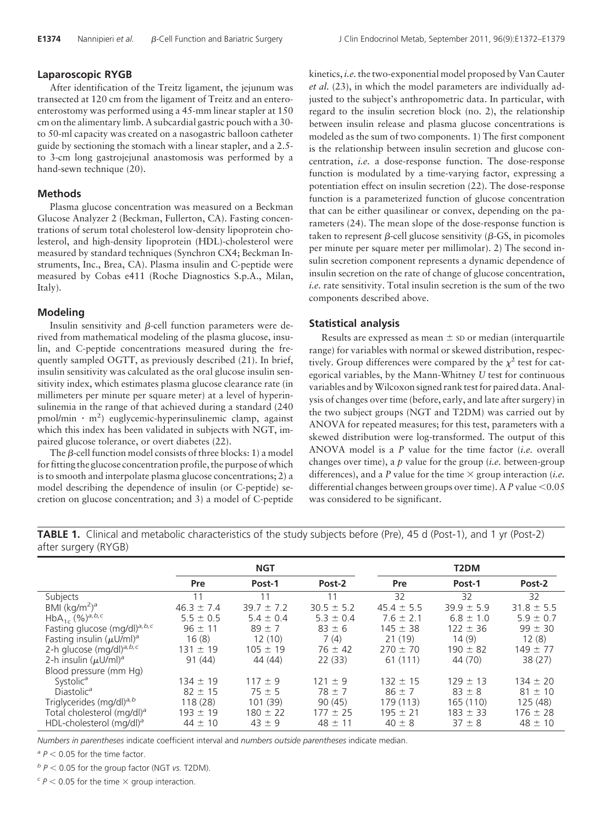#### **Laparoscopic RYGB**

After identification of the Treitz ligament, the jejunum was transected at 120 cm from the ligament of Treitz and an enteroenterostomy was performed using a 45-mm linear stapler at 150 cm on the alimentary limb. A subcardial gastric pouch with a 30 to 50-ml capacity was created on a nasogastric balloon catheter guide by sectioning the stomach with a linear stapler, and a 2.5 to 3-cm long gastrojejunal anastomosis was performed by a hand-sewn technique (20).

#### **Methods**

Plasma glucose concentration was measured on a Beckman Glucose Analyzer 2 (Beckman, Fullerton, CA). Fasting concentrations of serum total cholesterol low-density lipoprotein cholesterol, and high-density lipoprotein (HDL)-cholesterol were measured by standard techniques (Synchron CX4; Beckman Instruments, Inc., Brea, CA). Plasma insulin and C-peptide were measured by Cobas e411 (Roche Diagnostics S.p.A., Milan, Italy).

#### **Modeling**

Insulin sensitivity and  $\beta$ -cell function parameters were derived from mathematical modeling of the plasma glucose, insulin, and C-peptide concentrations measured during the frequently sampled OGTT, as previously described (21). In brief, insulin sensitivity was calculated as the oral glucose insulin sensitivity index, which estimates plasma glucose clearance rate (in millimeters per minute per square meter) at a level of hyperinsulinemia in the range of that achieved during a standard (240 pmol/min · m<sup>2</sup>) euglycemic-hyperinsulinemic clamp, against which this index has been validated in subjects with NGT, impaired glucose tolerance, or overt diabetes (22).

The  $\beta$ -cell function model consists of three blocks: 1) a model for fitting the glucose concentration profile, the purpose of which is to smooth and interpolate plasma glucose concentrations; 2) a model describing the dependence of insulin (or C-peptide) secretion on glucose concentration; and 3) a model of C-peptide

kinetics, *i.e.* the two-exponential model proposed by Van Cauter *et al.* (23), in which the model parameters are individually adjusted to the subject's anthropometric data. In particular, with regard to the insulin secretion block (no. 2), the relationship between insulin release and plasma glucose concentrations is modeled as the sum of two components. 1) The first component is the relationship between insulin secretion and glucose concentration, *i.e.* a dose-response function. The dose-response function is modulated by a time-varying factor, expressing a potentiation effect on insulin secretion (22). The dose-response function is a parameterized function of glucose concentration that can be either quasilinear or convex, depending on the parameters (24). The mean slope of the dose-response function is taken to represent  $\beta$ -cell glucose sensitivity ( $\beta$ -GS, in picomoles per minute per square meter per millimolar). 2) The second insulin secretion component represents a dynamic dependence of insulin secretion on the rate of change of glucose concentration, *i.e.* rate sensitivity. Total insulin secretion is the sum of the two components described above.

#### **Statistical analysis**

Results are expressed as mean  $\pm$  sD or median (interquartile range) for variables with normal or skewed distribution, respectively. Group differences were compared by the  $\chi^2$  test for categorical variables, by the Mann-Whitney *U* test for continuous variables and byWilcoxon signed rank test for paired data. Analysis of changes over time (before, early, and late after surgery) in the two subject groups (NGT and T2DM) was carried out by ANOVA for repeated measures; for this test, parameters with a skewed distribution were log-transformed. The output of this ANOVA model is a *P* value for the time factor (*i.e.* overall changes over time), a *p* value for the group (*i.e.* between-group differences), and a *P* value for the time  $\times$  group interaction (*i.e.* differential changes between groups over time). A  $P$  value < $0.05$ was considered to be significant.

**TABLE 1.** Clinical and metabolic characteristics of the study subjects before (Pre), 45 d (Post-1), and 1 yr (Post-2) after surgery (RYGB)

|                                            |                | <b>NGT</b>     |                | T <sub>2</sub> DM |                |                |  |
|--------------------------------------------|----------------|----------------|----------------|-------------------|----------------|----------------|--|
|                                            | Pre            | Post-1         | Post-2         | Pre               | Post-1         | Post-2         |  |
| Subjects                                   | 11             | 11             | 11             | 32                | 32             | 32             |  |
| BMI $(kq/m2)a$                             | $46.3 \pm 7.4$ | $39.7 \pm 7.2$ | $30.5 \pm 5.2$ | $45.4 \pm 5.5$    | $39.9 \pm 5.9$ | $31.8 \pm 5.5$ |  |
| $HbA_{1c} (%)^{a, b, c}$                   | $5.5 \pm 0.5$  | $5.4 \pm 0.4$  | $5.3 \pm 0.4$  | $7.6 \pm 2.1$     | $6.8 \pm 1.0$  | $5.9 \pm 0.7$  |  |
| Fasting glucose (mg/dl) <sup>a, b, c</sup> | $96 \pm 11$    | $89 + 7$       | $83 \pm 6$     | $145 \pm 38$      | $122 \pm 36$   | $99 \pm 30$    |  |
| Fasting insulin $(\mu U/m)^a$              | 16(8)          | 12(10)         | 7(4)           | 21(19)            | 14(9)          | 12(8)          |  |
| 2-h glucose (mg/dl) <sup>a, b, c</sup>     | $131 \pm 19$   | $105 \pm 19$   | $76 \pm 42$    | $270 \pm 70$      | $190 \pm 82$   | $149 \pm 77$   |  |
| 2-h insulin $(\mu U/m)^a$                  | 91(44)         | 44 (44)        | 22(33)         | 61(111)           | 44 (70)        | 38(27)         |  |
| Blood pressure (mm Hg)                     |                |                |                |                   |                |                |  |
| Systolic <sup>a</sup>                      | $134 \pm 19$   | $117 \pm 9$    | $121 \pm 9$    | $132 \pm 15$      | $129 \pm 13$   | $134 \pm 20$   |  |
| Diastolic <sup>a</sup>                     | $82 \pm 15$    | $75 \pm 5$     | $78 \pm 7$     | $86 \pm 7$        | $83 \pm 8$     | $81 \pm 10$    |  |
| Triglycerides (mg/dl) <sup>a, b</sup>      | 118 (28)       | 101 (39)       | 90(45)         | 179 (113)         | 165 (110)      | 125 (48)       |  |
| Total cholesterol (mg/dl) <sup>a</sup>     | $193 \pm 19$   | $180 \pm 22$   | $177 \pm 25$   | $195 + 21$        | $183 \pm 33$   | $176 \pm 28$   |  |
| HDL-cholesterol (mg/dl) <sup>a</sup>       | $44 \pm 10$    | $43 \pm 9$     | $48 \pm 11$    | $40 \pm 8$        | $37 \pm 8$     | $48 \pm 10$    |  |

*Numbers in parentheses* indicate coefficient interval and *numbers outside parentheses* indicate median.

 $a^2 P < 0.05$  for the time factor.

*<sup>b</sup> P* 0.05 for the group factor (NGT *vs.* T2DM).

 $c^2 P$  < 0.05 for the time  $\times$  group interaction.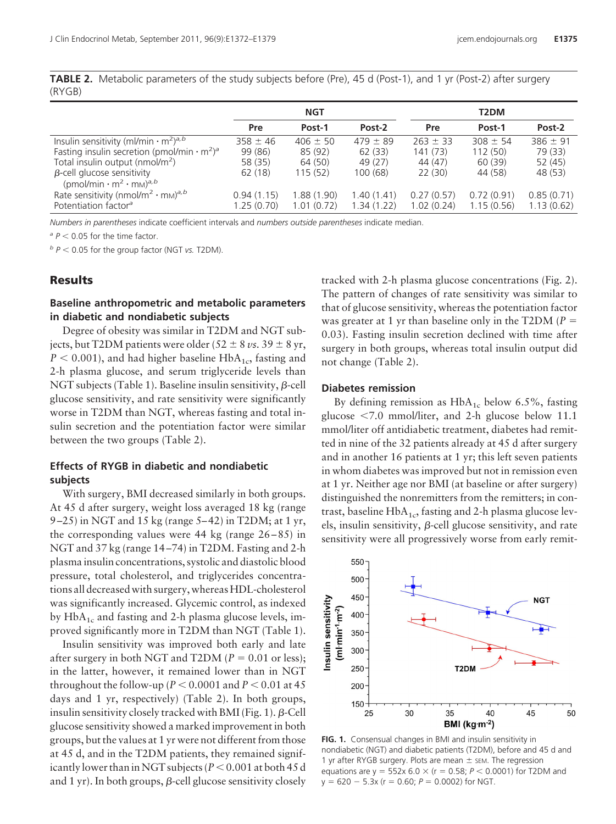**TABLE 2.** Metabolic parameters of the study subjects before (Pre), 45 d (Post-1), and 1 yr (Post-2) after surgery (RYGB)

|                                                                           |              | <b>NGT</b>   |              | T2DM         |              |              |  |
|---------------------------------------------------------------------------|--------------|--------------|--------------|--------------|--------------|--------------|--|
|                                                                           | Pre          | Post-1       | Post-2       | Pre          | Post-1       | Post-2       |  |
| Insulin sensitivity (ml/min $\cdot$ m <sup>2</sup> ) <sup>a,b</sup>       | $358 \pm 46$ | $406 \pm 50$ | $479 \pm 89$ | $263 \pm 33$ | $308 \pm 54$ | $386 \pm 91$ |  |
| Fasting insulin secretion (pmol/min $\cdot$ m <sup>2</sup> ) <sup>a</sup> | 99 (86)      | 85 (92)      | 62(33)       | 141(73)      | 112(50)      | 79 (33)      |  |
| Total insulin output (nmol/m <sup>2</sup> )                               | 58 (35)      | 64 (50)      | 49 (27)      | 44 (47)      | 60 (39)      | 52 (45)      |  |
| $\beta$ -cell glucose sensitivity                                         | 62(18)       | 115(52)      | 100(68)      | 22(30)       | 44 (58)      | 48 (53)      |  |
| $(pmol/min \cdot m^2 \cdot mM)^{a,b}$                                     |              |              |              |              |              |              |  |
| Rate sensitivity (nmol/m <sup>2</sup> · m <sub>M</sub> ) <sup>a, b</sup>  | 0.94(1.15)   | 1.88(1.90)   | 1.40(1.41)   | 0.27(0.57)   | 0.72(0.91)   | 0.85(0.71)   |  |
| Potentiation factor <sup>a</sup>                                          | 1.25(0.70)   | 1.01(0.72)   | 1.34(1.22)   | 1.02(0.24)   | 1.15(0.56)   | 1.13(0.62)   |  |

*Numbers in parentheses* indicate coefficient intervals and *numbers outside parentheses* indicate median.

 $a^2 P < 0.05$  for the time factor.

 $b$   $P$  < 0.05 for the group factor (NGT *vs.* T2DM).

## **Results**

# **Baseline anthropometric and metabolic parameters in diabetic and nondiabetic subjects**

Degree of obesity was similar in T2DM and NGT subjects, but T2DM patients were older (52  $\pm$  8  $\nu$ s. 39  $\pm$  8 yr,  $P < 0.001$ ), and had higher baseline HbA<sub>1c</sub>, fasting and 2-h plasma glucose, and serum triglyceride levels than NGT subjects (Table 1). Baseline insulin sensitivity,  $\beta$ -cell glucose sensitivity, and rate sensitivity were significantly worse in T2DM than NGT, whereas fasting and total insulin secretion and the potentiation factor were similar between the two groups (Table 2).

# **Effects of RYGB in diabetic and nondiabetic subjects**

With surgery, BMI decreased similarly in both groups. At 45 d after surgery, weight loss averaged 18 kg (range 9 –25) in NGT and 15 kg (range 5– 42) in T2DM; at 1 yr, the corresponding values were  $44 \text{ kg}$  (range  $26 - 85$ ) in NGT and 37 kg (range 14 –74) in T2DM. Fasting and 2-h plasma insulin concentrations, systolic and diastolic blood pressure, total cholesterol, and triglycerides concentrations all decreased with surgery, whereas HDL-cholesterol was significantly increased. Glycemic control, as indexed by  $HbA_{1c}$  and fasting and 2-h plasma glucose levels, improved significantly more in T2DM than NGT (Table 1).

Insulin sensitivity was improved both early and late after surgery in both NGT and T2DM  $(P = 0.01 \text{ or less});$ in the latter, however, it remained lower than in NGT throughout the follow-up ( $P < 0.0001$  and  $P < 0.01$  at 45 days and 1 yr, respectively) (Table 2). In both groups, insulin sensitivity closely tracked with BMI (Fig. 1).  $\beta$ -Cell glucose sensitivity showed a marked improvement in both groups, but the values at 1 yr were not different from those at 45 d, and in the T2DM patients, they remained significantly lower than in NGT subjects ( $P < 0.001$  at both 45 d and 1 yr). In both groups,  $\beta$ -cell glucose sensitivity closely

tracked with 2-h plasma glucose concentrations (Fig. 2). The pattern of changes of rate sensitivity was similar to that of glucose sensitivity, whereas the potentiation factor was greater at 1 yr than baseline only in the T2DM ( $P =$ 0.03). Fasting insulin secretion declined with time after surgery in both groups, whereas total insulin output did not change (Table 2).

## **Diabetes remission**

By defining remission as  $HbA_{1c}$  below 6.5%, fasting glucose  $\langle 7.0 \text{ mmol/liter}$ , and 2-h glucose below 11.1 mmol/liter off antidiabetic treatment, diabetes had remitted in nine of the 32 patients already at 45 d after surgery and in another 16 patients at 1 yr; this left seven patients in whom diabetes was improved but not in remission even at 1 yr. Neither age nor BMI (at baseline or after surgery) distinguished the nonremitters from the remitters; in contrast, baseline  $HbA_{1c}$ , fasting and 2-h plasma glucose levels, insulin sensitivity,  $\beta$ -cell glucose sensitivity, and rate sensitivity were all progressively worse from early remit-



**FIG. 1.** Consensual changes in BMI and insulin sensitivity in nondiabetic (NGT) and diabetic patients (T2DM), before and 45 d and 1 yr after RYGB surgery. Plots are mean  $\pm$  sem. The regression equations are  $y = 552x 6.0 \times (r = 0.58; P < 0.0001)$  for T2DM and  $y = 620 - 5.3x$  ( $r = 0.60$ ;  $P = 0.0002$ ) for NGT.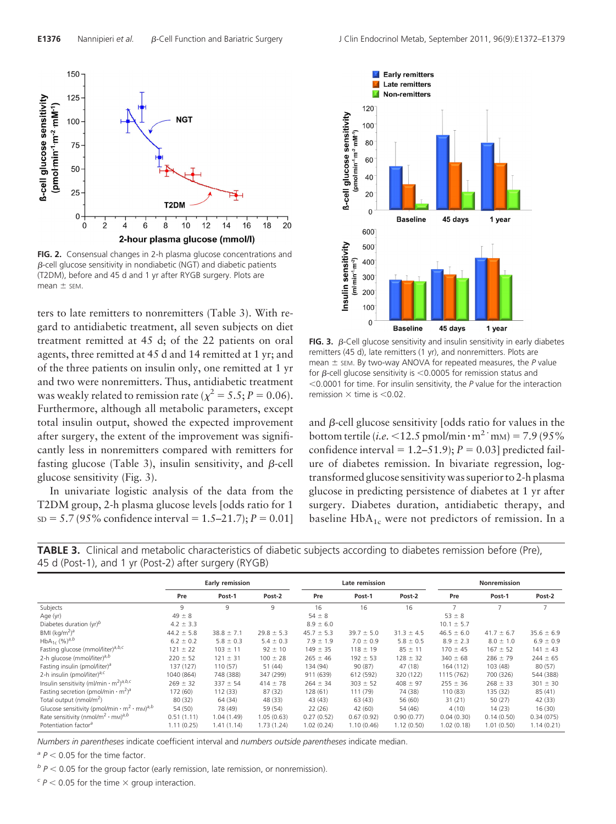

**FIG. 2.** Consensual changes in 2-h plasma glucose concentrations and  $\beta$ -cell glucose sensitivity in nondiabetic (NGT) and diabetic patients (T2DM), before and 45 d and 1 yr after RYGB surgery. Plots are  $mean \pm$  SEM.

ters to late remitters to nonremitters (Table 3). With regard to antidiabetic treatment, all seven subjects on diet treatment remitted at 45 d; of the 22 patients on oral agents, three remitted at 45 d and 14 remitted at 1 yr; and of the three patients on insulin only, one remitted at 1 yr and two were nonremitters. Thus, antidiabetic treatment was weakly related to remission rate ( $\chi^2 = 5.5$ ; *P* = 0.06). Furthermore, although all metabolic parameters, except total insulin output, showed the expected improvement after surgery, the extent of the improvement was significantly less in nonremitters compared with remitters for fasting glucose (Table 3), insulin sensitivity, and  $\beta$ -cell glucose sensitivity (Fig. 3).

In univariate logistic analysis of the data from the T2DM group, 2-h plasma glucose levels [odds ratio for 1  $SD = 5.7 (95\%$  confidence interval = 1.5–21.7);  $P = 0.01$ 



**FIG. 3.**  $\beta$ -Cell glucose sensitivity and insulin sensitivity in early diabetes remitters (45 d), late remitters (1 yr), and nonremitters. Plots are  $m$ ean  $\pm$  sem. By two-way ANOVA for repeated measures, the  $P$  value for  $\beta$ -cell glucose sensitivity is <0.0005 for remission status and 0.0001 for time. For insulin sensitivity, the *P* value for the interaction remission  $\times$  time is  $<$  0.02.

and  $\beta$ -cell glucose sensitivity [odds ratio for values in the bottom tertile (*i.e.* <12.5 pmol/min  $\cdot$  m<sup>2</sup> · m<sub>M</sub>) = 7.9 (95%) confidence interval =  $1.2-51.9$ ;  $P = 0.03$ ] predicted failure of diabetes remission. In bivariate regression, logtransformed glucose sensitivity was superior to 2-h plasma glucose in predicting persistence of diabetes at 1 yr after surgery. Diabetes duration, antidiabetic therapy, and baseline  $HbA_{1c}$  were not predictors of remission. In a



|                                                                                              | Early remission |                |                | Late remission |                |                | <b>Nonremission</b> |                |                |
|----------------------------------------------------------------------------------------------|-----------------|----------------|----------------|----------------|----------------|----------------|---------------------|----------------|----------------|
|                                                                                              | Pre             | Post-1         | Post-2         | Pre            | Post-1         | Post-2         | Pre                 | Post-1         | Post-2         |
| Subjects                                                                                     | 9               | 9              | 9              | 16             | 16             | 16             | $\overline{7}$      |                | 7              |
| Age (yr)                                                                                     | $49 \pm 8$      |                |                | $54 \pm 8$     |                |                | $53 \pm 8$          |                |                |
| Diabetes duration (yr) <sup>b</sup>                                                          | $4.2 \pm 3.3$   |                |                | $8.9 \pm 6.0$  |                |                | $10.1 \pm 5.7$      |                |                |
| BMI (kg/m <sup>2</sup> ) <sup>a</sup>                                                        | $44.2 \pm 5.8$  | $38.8 \pm 7.1$ | $29.8 \pm 5.3$ | $45.7 \pm 5.3$ | $39.7 \pm 5.0$ | $31.3 \pm 4.5$ | $46.5 \pm 6.0$      | $41.7 \pm 6.7$ | $35.6 \pm 6.9$ |
| $HbA_{1c}$ (%) <sup>a,b</sup>                                                                | $6.2 \pm 0.2$   | $5.8 \pm 0.3$  | $5.4 \pm 0.3$  | $7.9 \pm 1.9$  | $7.0 \pm 0.9$  | $5.8 \pm 0.5$  | $8.9 \pm 2.3$       | $8.0 \pm 1.0$  | $6.9 \pm 0.9$  |
| Fasting glucose (mmol/liter) <sup>a, b, c</sup>                                              | $121 \pm 22$    | $103 \pm 11$   | $92 \pm 10$    | $149 \pm 35$   | $118 \pm 19$   | $85 \pm 11$    | $170 \pm 45$        | $167 \pm 52$   | $141 \pm 43$   |
| 2-h glucose (mmol/liter) <sup>a,b</sup>                                                      | $220 \pm 52$    | $121 \pm 31$   | $100 \pm 28$   | $265 \pm 46$   | $192 \pm 53$   | $128 \pm 32$   | $340 \pm 68$        | $286 \pm 79$   | $244 \pm 65$   |
| Fasting insulin (pmol/liter) <sup>a</sup>                                                    | 137(127)        | 110(57)        | 51 (44)        | 134 (94)       | 90 (87)        | 47 (18)        | 164 (112)           | 103 (48)       | 80(57)         |
| 2-h insulin (pmol/liter) <sup>a,c</sup>                                                      | 1040 (864)      | 748 (388)      | 347 (299)      | 911 (639)      | 612 (592)      | 320 (122)      | 1115 (762)          | 700 (326)      | 544 (388)      |
| Insulin sensitivity (ml/min $\cdot$ m <sup>2</sup> ) <sup>a,b,c</sup>                        | $269 \pm 32$    | $337 \pm 54$   | $414 \pm 78$   | $264 \pm 34$   | $303 \pm 52$   | $408 \pm 97$   | $255 \pm 36$        | $268 \pm 33$   | $301 \pm 30$   |
| Fasting secretion (pmol/min $\cdot$ m <sup>2</sup> ) <sup>a</sup>                            | 172 (60)        | 112 (33)       | 87(32)         | 128 (61)       | 111 (79)       | 74 (38)        | 110 (83)            | 135 (32)       | 85(41)         |
| Total output (nmol/m <sup>2</sup> )                                                          | 80 (32)         | 64 (34)        | 48 (33)        | 43 (43)        | 63(43)         | 56 (60)        | 31(21)              | 50(27)         | 42 (33)        |
| Glucose sensitivity (pmol/min $\cdot$ m <sup>2</sup> $\cdot$ m <sub>M</sub> ) <sup>a,b</sup> | 54 (50)         | 78 (49)        | 59 (54)        | 22(26)         | 42 (60)        | 54 (46)        | 4(10)               | 14(23)         | 16(30)         |
| Rate sensitivity (nmol/m <sup>2</sup> · mm) <sup>a,b</sup>                                   | 0.51(1.11)      | 1.04(1.49)     | 1.05(0.63)     | 0.27(0.52)     | 0.67(0.92)     | 0.90(0.77)     | 0.04(0.30)          | 0.14(0.50)     | 0.34(075)      |
| Potentiation factor <sup>a</sup>                                                             | 1.11(0.25)      | 1.41 (1.14)    | 1.73(1.24)     | 1.02(0.24)     | 1.10(0.46)     | 1.12(0.50)     | 1.02(0.18)          | 1.01(0.50)     | 1.14(0.21)     |

*Numbers in parentheses* indicate coefficient interval and *numbers outside parentheses* indicate median.

 $a^2 P < 0.05$  for the time factor.

 $<sup>b</sup> P < 0.05$  for the group factor (early remission, late remission, or nonremission).</sup>

 $c^2 P$  < 0.05 for the time  $\times$  group interaction.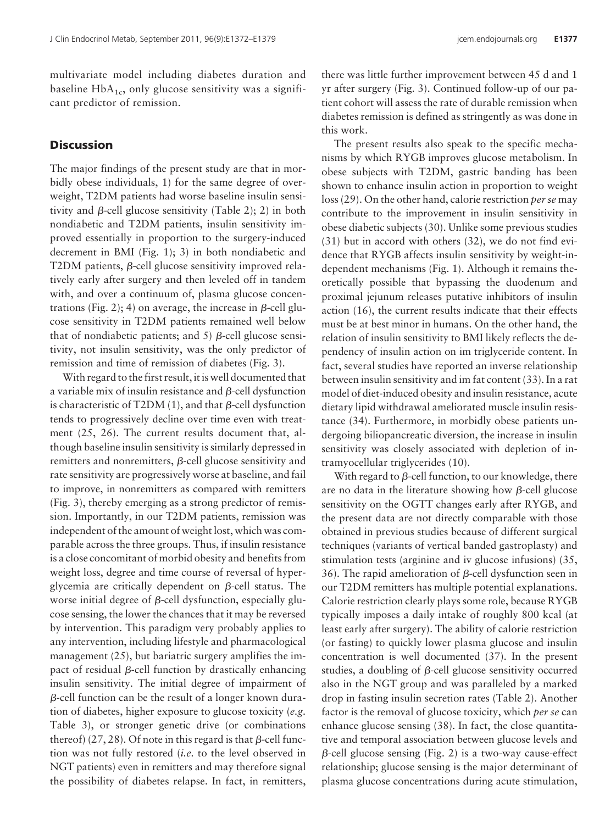multivariate model including diabetes duration and baseline  $HbA_{1c}$ , only glucose sensitivity was a significant predictor of remission.

# **Discussion**

The major findings of the present study are that in morbidly obese individuals, 1) for the same degree of overweight, T2DM patients had worse baseline insulin sensitivity and  $\beta$ -cell glucose sensitivity (Table 2); 2) in both nondiabetic and T2DM patients, insulin sensitivity improved essentially in proportion to the surgery-induced decrement in BMI (Fig. 1); 3) in both nondiabetic and T2DM patients,  $\beta$ -cell glucose sensitivity improved relatively early after surgery and then leveled off in tandem with, and over a continuum of, plasma glucose concentrations (Fig. 2); 4) on average, the increase in  $\beta$ -cell glucose sensitivity in T2DM patients remained well below that of nondiabetic patients; and 5)  $\beta$ -cell glucose sensitivity, not insulin sensitivity, was the only predictor of remission and time of remission of diabetes (Fig. 3).

With regard to the first result, it is well documented that a variable mix of insulin resistance and  $\beta$ -cell dysfunction is characteristic of T2DM  $(1)$ , and that  $\beta$ -cell dysfunction tends to progressively decline over time even with treatment (25, 26). The current results document that, although baseline insulin sensitivity is similarly depressed in remitters and nonremitters,  $\beta$ -cell glucose sensitivity and rate sensitivity are progressively worse at baseline, and fail to improve, in nonremitters as compared with remitters (Fig. 3), thereby emerging as a strong predictor of remission. Importantly, in our T2DM patients, remission was independent of the amount of weight lost, which was comparable across the three groups. Thus, if insulin resistance is a close concomitant of morbid obesity and benefits from weight loss, degree and time course of reversal of hyperglycemia are critically dependent on  $\beta$ -cell status. The worse initial degree of  $\beta$ -cell dysfunction, especially glucose sensing, the lower the chances that it may be reversed by intervention. This paradigm very probably applies to any intervention, including lifestyle and pharmacological management (25), but bariatric surgery amplifies the impact of residual  $\beta$ -cell function by drastically enhancing insulin sensitivity. The initial degree of impairment of  $\beta$ -cell function can be the result of a longer known duration of diabetes, higher exposure to glucose toxicity (*e.g.* Table 3), or stronger genetic drive (or combinations thereof) (27, 28). Of note in this regard is that  $\beta$ -cell function was not fully restored (*i.e.* to the level observed in NGT patients) even in remitters and may therefore signal the possibility of diabetes relapse. In fact, in remitters, there was little further improvement between 45 d and 1 yr after surgery (Fig. 3). Continued follow-up of our patient cohort will assess the rate of durable remission when diabetes remission is defined as stringently as was done in this work.

The present results also speak to the specific mechanisms by which RYGB improves glucose metabolism. In obese subjects with T2DM, gastric banding has been shown to enhance insulin action in proportion to weight loss (29). On the other hand, calorie restriction *per se* may contribute to the improvement in insulin sensitivity in obese diabetic subjects (30). Unlike some previous studies (31) but in accord with others (32), we do not find evidence that RYGB affects insulin sensitivity by weight-independent mechanisms (Fig. 1). Although it remains theoretically possible that bypassing the duodenum and proximal jejunum releases putative inhibitors of insulin action (16), the current results indicate that their effects must be at best minor in humans. On the other hand, the relation of insulin sensitivity to BMI likely reflects the dependency of insulin action on im triglyceride content. In fact, several studies have reported an inverse relationship between insulin sensitivity and im fat content (33). In a rat model of diet-induced obesity and insulin resistance, acute dietary lipid withdrawal ameliorated muscle insulin resistance (34). Furthermore, in morbidly obese patients undergoing biliopancreatic diversion, the increase in insulin sensitivity was closely associated with depletion of intramyocellular triglycerides (10).

With regard to  $\beta$ -cell function, to our knowledge, there are no data in the literature showing how  $\beta$ -cell glucose sensitivity on the OGTT changes early after RYGB, and the present data are not directly comparable with those obtained in previous studies because of different surgical techniques (variants of vertical banded gastroplasty) and stimulation tests (arginine and iv glucose infusions) (35, 36). The rapid amelioration of  $\beta$ -cell dysfunction seen in our T2DM remitters has multiple potential explanations. Calorie restriction clearly plays some role, because RYGB typically imposes a daily intake of roughly 800 kcal (at least early after surgery). The ability of calorie restriction (or fasting) to quickly lower plasma glucose and insulin concentration is well documented (37). In the present studies, a doubling of  $\beta$ -cell glucose sensitivity occurred also in the NGT group and was paralleled by a marked drop in fasting insulin secretion rates (Table 2). Another factor is the removal of glucose toxicity, which *per se* can enhance glucose sensing (38). In fact, the close quantitative and temporal association between glucose levels and  $\beta$ -cell glucose sensing (Fig. 2) is a two-way cause-effect relationship; glucose sensing is the major determinant of plasma glucose concentrations during acute stimulation,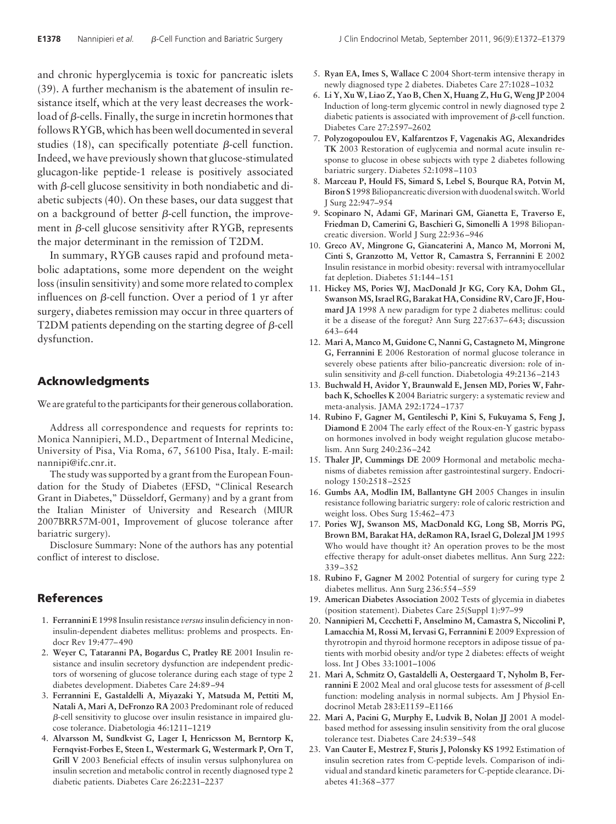and chronic hyperglycemia is toxic for pancreatic islets (39). A further mechanism is the abatement of insulin resistance itself, which at the very least decreases the work- $\log$  load of  $\beta$ -cells. Finally, the surge in incretin hormones that follows RYGB, which has been well documented in several studies (18), can specifically potentiate  $\beta$ -cell function. Indeed, we have previously shown that glucose-stimulated glucagon-like peptide-1 release is positively associated with  $\beta$ -cell glucose sensitivity in both nondiabetic and diabetic subjects (40). On these bases, our data suggest that on a background of better  $\beta$ -cell function, the improvement in  $\beta$ -cell glucose sensitivity after RYGB, represents the major determinant in the remission of T2DM.

In summary, RYGB causes rapid and profound metabolic adaptations, some more dependent on the weight loss (insulin sensitivity) and some more related to complex influences on  $\beta$ -cell function. Over a period of 1 yr after surgery, diabetes remission may occur in three quarters of T2DM patients depending on the starting degree of  $\beta$ -cell dysfunction.

# **Acknowledgments**

We are grateful to the participants for their generous collaboration.

Address all correspondence and requests for reprints to: Monica Nannipieri, M.D., Department of Internal Medicine, University of Pisa, Via Roma, 67, 56100 Pisa, Italy. E-mail: nannipi@ifc.cnr.it.

The study was supported by a grant from the European Foundation for the Study of Diabetes (EFSD, "Clinical Research Grant in Diabetes," Düsseldorf, Germany) and by a grant from the Italian Minister of University and Research (MIUR 2007BRR57M-001, Improvement of glucose tolerance after bariatric surgery).

Disclosure Summary: None of the authors has any potential conflict of interest to disclose.

## **References**

- 1. **Ferrannini E** 1998 Insulin resistance *versus*insulin deficiency in noninsulin-dependent diabetes mellitus: problems and prospects. Endocr Rev 19:477– 490
- 2. **Weyer C, Tataranni PA, Bogardus C, Pratley RE** 2001 Insulin resistance and insulin secretory dysfunction are independent predictors of worsening of glucose tolerance during each stage of type 2 diabetes development. Diabetes Care 24:89 –94
- 3. **Ferrannini E, Gastaldelli A, Miyazaki Y, Matsuda M, Pettiti M, Natali A, Mari A, DeFronzo RA** 2003 Predominant role of reduced  $\beta$ -cell sensitivity to glucose over insulin resistance in impaired glucose tolerance. Diabetologia 46:1211–1219
- 4. **Alvarsson M, Sundkvist G, Lager I, Henricsson M, Berntorp K, Fernqvist-Forbes E, Steen L, Westermark G, Westermark P, Orn T, Grill V** 2003 Beneficial effects of insulin versus sulphonylurea on insulin secretion and metabolic control in recently diagnosed type 2 diabetic patients. Diabetes Care 26:2231–2237
- 5. **Ryan EA, Imes S, Wallace C** 2004 Short-term intensive therapy in newly diagnosed type 2 diabetes. Diabetes Care 27:1028 –1032
- 6. **Li Y, Xu W, Liao Z, Yao B, Chen X, Huang Z, Hu G, Weng JP** 2004 Induction of long-term glycemic control in newly diagnosed type 2 diabetic patients is associated with improvement of  $\beta$ -cell function. Diabetes Care 27:2597–2602
- 7. **Polyzogopoulou EV, Kalfarentzos F, Vagenakis AG, Alexandrides TK** 2003 Restoration of euglycemia and normal acute insulin response to glucose in obese subjects with type 2 diabetes following bariatric surgery. Diabetes 52:1098 –1103
- 8. **Marceau P, Hould FS, Simard S, Lebel S, Bourque RA, Potvin M, Biron S** 1998 Biliopancreatic diversion with duodenal switch.World J Surg 22:947–954
- 9. **Scopinaro N, Adami GF, Marinari GM, Gianetta E, Traverso E, Friedman D, Camerini G, Baschieri G, Simonelli A** 1998 Biliopancreatic diversion. World J Surg 22:936 –946
- 10. **Greco AV, Mingrone G, Giancaterini A, Manco M, Morroni M, Cinti S, Granzotto M, Vettor R, Camastra S, Ferrannini E** 2002 Insulin resistance in morbid obesity: reversal with intramyocellular fat depletion. Diabetes 51:144 –151
- 11. **Hickey MS, Pories WJ, MacDonald Jr KG, Cory KA, Dohm GL, Swanson MS, Israel RG, Barakat HA, Considine RV, Caro JF, Houmard JA** 1998 A new paradigm for type 2 diabetes mellitus: could it be a disease of the foregut? Ann Surg 227:637– 643; discussion 643– 644
- 12. **Mari A, Manco M, Guidone C, Nanni G, Castagneto M, Mingrone G, Ferrannini E** 2006 Restoration of normal glucose tolerance in severely obese patients after bilio-pancreatic diversion: role of insulin sensitivity and  $\beta$ -cell function. Diabetologia 49:2136-2143
- 13. **Buchwald H, Avidor Y, Braunwald E, Jensen MD, Pories W, Fahrbach K, Schoelles K** 2004 Bariatric surgery: a systematic review and meta-analysis. JAMA 292:1724 –1737
- 14. **Rubino F, Gagner M, Gentileschi P, Kini S, Fukuyama S, Feng J, Diamond E** 2004 The early effect of the Roux-en-Y gastric bypass on hormones involved in body weight regulation glucose metabolism. Ann Surg 240:236 –242
- 15. **Thaler JP, Cummings DE** 2009 Hormonal and metabolic mechanisms of diabetes remission after gastrointestinal surgery. Endocrinology 150:2518 –2525
- 16. **Gumbs AA, Modlin IM, Ballantyne GH** 2005 Changes in insulin resistance following bariatric surgery: role of caloric restriction and weight loss. Obes Surg 15:462– 473
- 17. **Pories WJ, Swanson MS, MacDonald KG, Long SB, Morris PG, Brown BM, Barakat HA, deRamon RA, Israel G, Dolezal JM** 1995 Who would have thought it? An operation proves to be the most effective therapy for adult-onset diabetes mellitus. Ann Surg 222: 339 –352
- 18. **Rubino F, Gagner M** 2002 Potential of surgery for curing type 2 diabetes mellitus. Ann Surg 236:554 –559
- 19. **American Diabetes Association** 2002 Tests of glycemia in diabetes (position statement). Diabetes Care 25(Suppl 1):97–99
- 20. **Nannipieri M, Cecchetti F, Anselmino M, Camastra S, Niccolini P, Lamacchia M, Rossi M, Iervasi G, Ferrannini E** 2009 Expression of thyrotropin and thyroid hormone receptors in adipose tissue of patients with morbid obesity and/or type 2 diabetes: effects of weight loss. Int J Obes 33:1001–1006
- 21. **Mari A, Schmitz O, Gastaldelli A, Oestergaard T, Nyholm B, Fer** $r$ **annini E** 2002 Meal and oral glucose tests for assessment of  $\beta$ -cell function: modeling analysis in normal subjects. Am J Physiol Endocrinol Metab 283:E1159 –E1166
- 22. **Mari A, Pacini G, Murphy E, Ludvik B, Nolan JJ** 2001 A modelbased method for assessing insulin sensitivity from the oral glucose tolerance test. Diabetes Care 24:539 –548
- 23. **Van Cauter E, Mestrez F, Sturis J, Polonsky KS** 1992 Estimation of insulin secretion rates from C-peptide levels. Comparison of individual and standard kinetic parameters for C-peptide clearance. Diabetes 41:368 –377